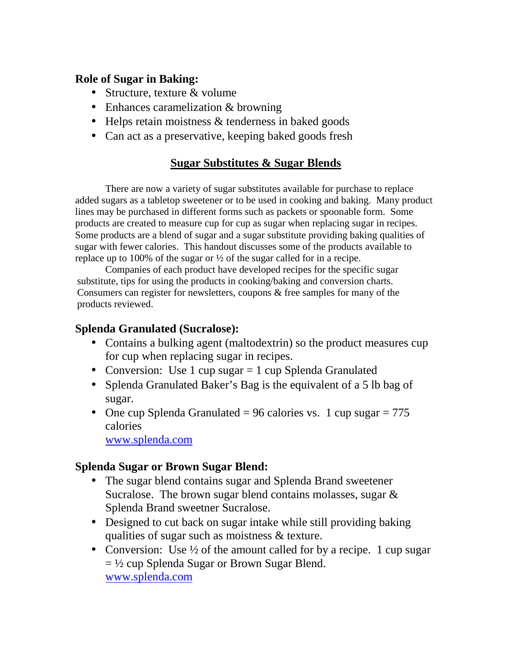### **Role of Sugar in Baking:**

- Structure, texture & volume
- Enhances caramelization & browning
- Helps retain moistness & tenderness in baked goods
- Can act as a preservative, keeping baked goods fresh

#### **Sugar Substitutes & Sugar Blends**

There are now a variety of sugar substitutes available for purchase to replace added sugars as a tabletop sweetener or to be used in cooking and baking. Many product lines may be purchased in different forms such as packets or spoonable form. Some products are created to measure cup for cup as sugar when replacing sugar in recipes. Some products are a blend of sugar and a sugar substitute providing baking qualities of sugar with fewer calories. This handout discusses some of the products available to replace up to 100% of the sugar or  $\frac{1}{2}$  of the sugar called for in a recipe.

Companies of each product have developed recipes for the specific sugar substitute, tips for using the products in cooking/baking and conversion charts. Consumers can register for newsletters, coupons & free samples for many of the products reviewed.

### **Splenda Granulated (Sucralose):**

- Contains a bulking agent (maltodextrin) so the product measures cup for cup when replacing sugar in recipes.
- Conversion: Use 1 cup sugar = 1 cup Splenda Granulated
- Splenda Granulated Baker's Bag is the equivalent of a 5 lb bag of sugar.
- One cup Splenda Granulated = 96 calories vs. 1 cup sugar =  $775$ calories

www.splenda.com

#### **Splenda Sugar or Brown Sugar Blend:**

- The sugar blend contains sugar and Splenda Brand sweetener Sucralose. The brown sugar blend contains molasses, sugar & Splenda Brand sweetner Sucralose.
- Designed to cut back on sugar intake while still providing baking qualities of sugar such as moistness & texture.
- Conversion: Use  $\frac{1}{2}$  of the amount called for by a recipe. 1 cup sugar  $=$  ½ cup Splenda Sugar or Brown Sugar Blend. www.splenda.com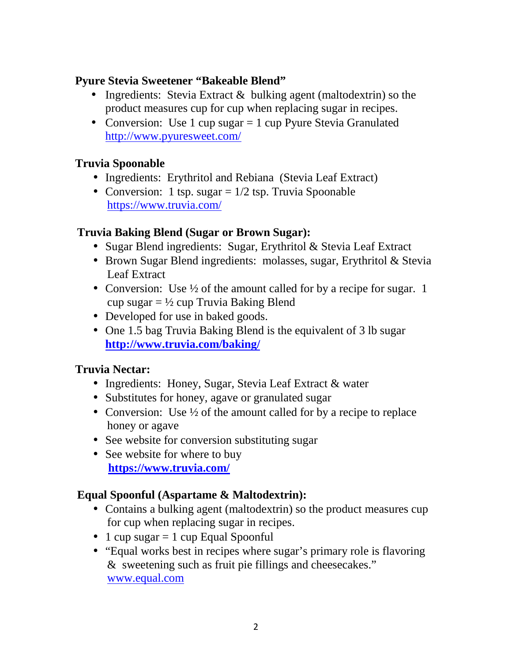## **Pyure Stevia Sweetener "Bakeable Blend"**

- Ingredients: Stevia Extract & bulking agent (maltodextrin) so the product measures cup for cup when replacing sugar in recipes.
- Conversion: Use 1 cup sugar = 1 cup Pyure Stevia Granulated http://www.pyuresweet.com/

# **Truvia Spoonable**

- Ingredients: Erythritol and Rebiana (Stevia Leaf Extract)
- Conversion: 1 tsp. sugar  $= 1/2$  tsp. Truvia Spoonable https://www.truvia.com/

### **Truvia Baking Blend (Sugar or Brown Sugar):**

- Sugar Blend ingredients: Sugar, Erythritol & Stevia Leaf Extract
- Brown Sugar Blend ingredients: molasses, sugar, Erythritol & Stevia Leaf Extract
- Conversion: Use  $\frac{1}{2}$  of the amount called for by a recipe for sugar. 1 cup sugar  $= \frac{1}{2}$  cup Truvia Baking Blend
- Developed for use in baked goods.
- One 1.5 bag Truvia Baking Blend is the equivalent of 3 lb sugar **http://www.truvia.com/baking/**

# **Truvia Nectar:**

- Ingredients: Honey, Sugar, Stevia Leaf Extract & water
- Substitutes for honey, agave or granulated sugar
- Conversion: Use  $\frac{1}{2}$  of the amount called for by a recipe to replace honey or agave
- See website for conversion substituting sugar
- See website for where to buy **https://www.truvia.com/**

# **Equal Spoonful (Aspartame & Maltodextrin):**

- Contains a bulking agent (maltodextrin) so the product measures cup for cup when replacing sugar in recipes.
- 1 cup sugar  $= 1$  cup Equal Spoonful
- "Equal works best in recipes where sugar's primary role is flavoring & sweetening such as fruit pie fillings and cheesecakes." www.equal.com